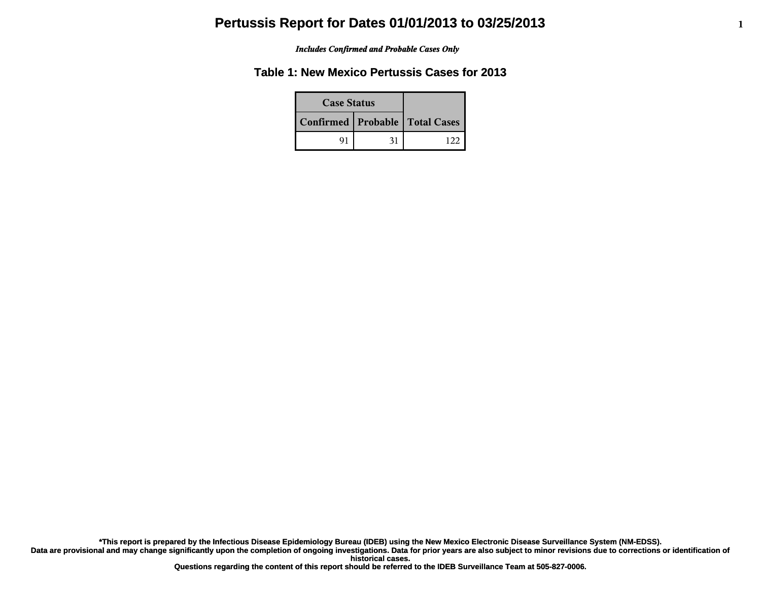#### *Includes Confirmed and Probable Cases Only*

### **Table 1: New Mexico Pertussis Cases for 2013**

| <b>Case Status</b>                 |    |  |
|------------------------------------|----|--|
| Confirmed   Probable   Total Cases |    |  |
| 91                                 | 31 |  |

**\*This report is prepared by the Infectious Disease Epidemiology Bureau (IDEB) using the New Mexico Electronic Disease Surveillance System (NM-EDSS).**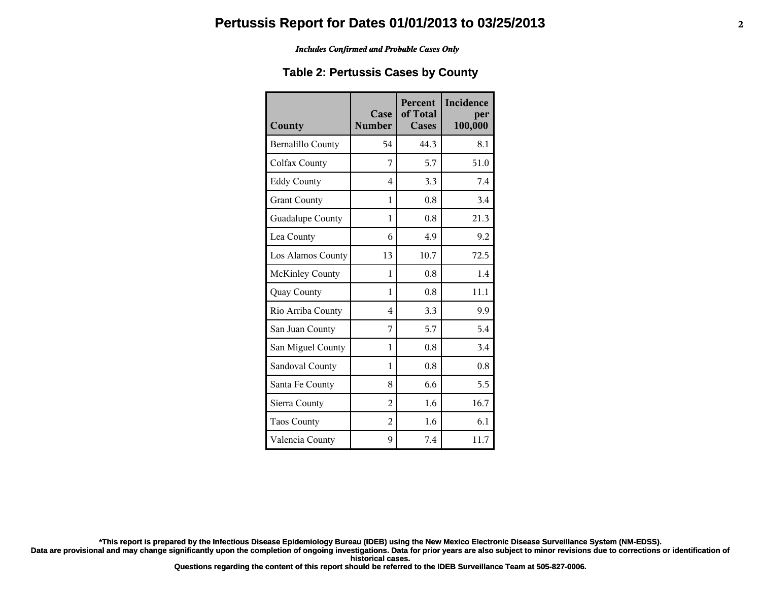#### *Includes Confirmed and Probable Cases Only*

### **Table 2: Pertussis Cases by County**

| County                   | Case<br><b>Number</b> | <b>Percent</b><br>of Total<br>Cases | Incidence<br>per<br>100,000 |
|--------------------------|-----------------------|-------------------------------------|-----------------------------|
| <b>Bernalillo County</b> | 54                    | 44.3                                | 8.1                         |
| Colfax County            | 7                     | 5.7                                 | 51.0                        |
| <b>Eddy County</b>       | 4                     | 3.3                                 | 7.4                         |
| <b>Grant County</b>      | 1                     | 0.8                                 | 3.4                         |
| Guadalupe County         | 1                     | 0.8                                 | 21.3                        |
| Lea County               | 6                     | 4.9                                 | 9.2                         |
| Los Alamos County        | 13                    | 10.7                                | 72.5                        |
| <b>McKinley County</b>   | 1                     | 0.8                                 | 1.4                         |
| Quay County              | 1                     | 0.8                                 | 11.1                        |
| Rio Arriba County        | 4                     | 3.3                                 | 9.9                         |
| San Juan County          | 7                     | 5.7                                 | 5.4                         |
| San Miguel County        | 1                     | 0.8                                 | 3.4                         |
| Sandoval County          | 1                     | 0.8                                 | 0.8                         |
| Santa Fe County          | 8                     | 6.6                                 | 5.5                         |
| Sierra County            | $\overline{2}$        | 1.6                                 | 16.7                        |
| Taos County              | $\overline{2}$        | 1.6                                 | 6.1                         |
| Valencia County          | 9                     | 7.4                                 | 11.7                        |

**\*This report is prepared by the Infectious Disease Epidemiology Bureau (IDEB) using the New Mexico Electronic Disease Surveillance System (NM-EDSS).**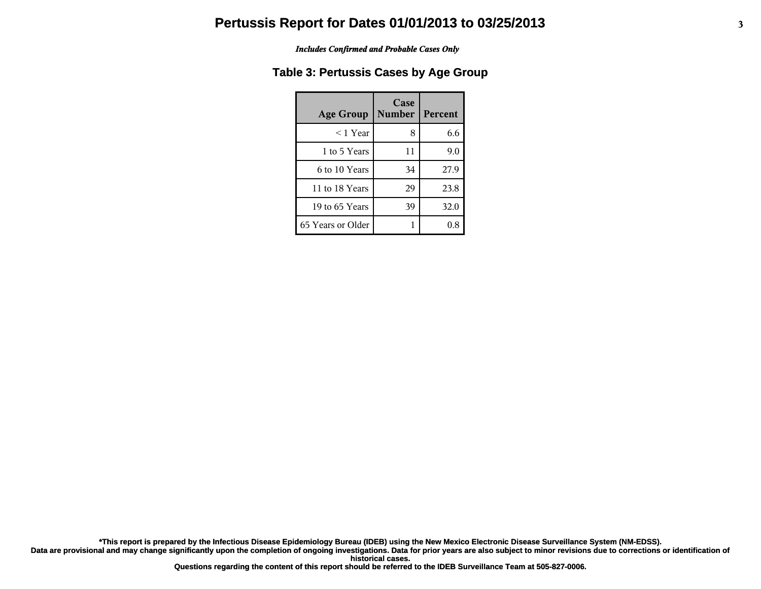#### *Includes Confirmed and Probable Cases Only*

### **Table 3: Pertussis Cases by Age Group**

| <b>Age Group</b>  | Case<br><b>Number</b> | Percent |
|-------------------|-----------------------|---------|
| ≤ 1 Year          | 8                     | 6.6     |
| 1 to 5 Years      | 11                    | 9.0     |
| 6 to 10 Years     | 34                    | 27.9    |
| 11 to 18 Years    | 29                    | 23.8    |
| 19 to 65 Years    | 39                    | 32.0    |
| 65 Years or Older |                       |         |

**\*This report is prepared by the Infectious Disease Epidemiology Bureau (IDEB) using the New Mexico Electronic Disease Surveillance System (NM-EDSS).**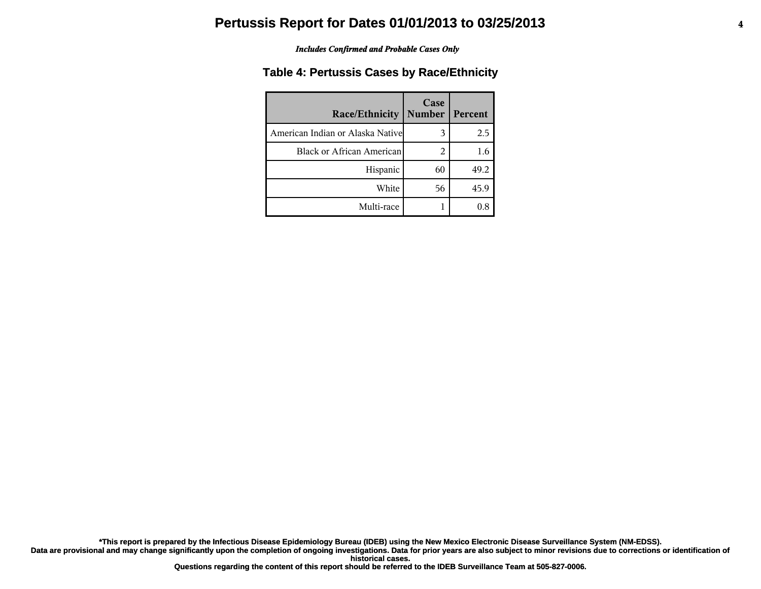#### *Includes Confirmed and Probable Cases Only*

### **Table 4: Pertussis Cases by Race/Ethnicity**

| <b>Race/Ethnicity</b>             | Case<br><b>Number</b> | Percent |
|-----------------------------------|-----------------------|---------|
| American Indian or Alaska Nativel | 3                     | 2.5     |
| <b>Black or African American</b>  | 2                     | 1.6     |
| Hispanic                          | 60                    | 49.2    |
| White                             | 56                    | 45.9    |
| Multi-race                        |                       | 0.8     |

**\*This report is prepared by the Infectious Disease Epidemiology Bureau (IDEB) using the New Mexico Electronic Disease Surveillance System (NM-EDSS).**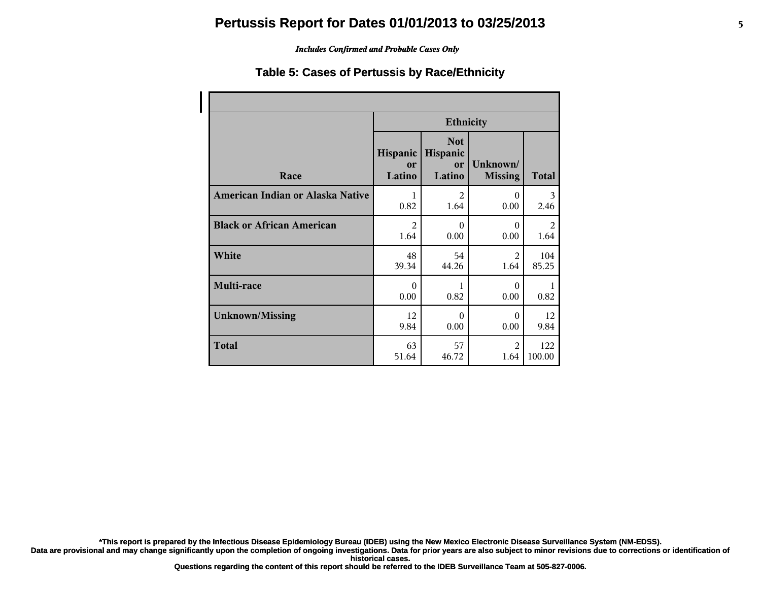### *Includes Confirmed and Probable Cases Only*

### **Table 5: Cases of Pertussis by Race/Ethnicity**

|                                  | <b>Ethnicity</b>         |                                        |                            |              |
|----------------------------------|--------------------------|----------------------------------------|----------------------------|--------------|
| Race                             | Hispanic<br>or<br>Latino | <b>Not</b><br>Hispanic<br>or<br>Latino | Unknown/<br><b>Missing</b> | <b>Total</b> |
| American Indian or Alaska Native | 1                        | $\overline{2}$                         | $\theta$                   | 3            |
|                                  | 0.82                     | 1.64                                   | 0.00                       | 2.46         |
| <b>Black or African American</b> | $\overline{2}$           | $\Omega$                               | $\Omega$                   | 2            |
|                                  | 1.64                     | 0.00                                   | 0.00                       | 1.64         |
| White                            | 48                       | 54                                     | $\mathfrak{D}$             | 104          |
|                                  | 39.34                    | 44.26                                  | 1.64                       | 85.25        |
| Multi-race                       | $\Omega$<br>0.00         | 1<br>0.82                              | $\Omega$<br>0.00           | 0.82         |
| <b>Unknown/Missing</b>           | 12                       | $\theta$                               | $\Omega$                   | 12           |
|                                  | 9.84                     | 0.00                                   | 0.00                       | 9.84         |
| <b>Total</b>                     | 63                       | 57                                     | $\mathfrak{D}$             | 122          |
|                                  | 51.64                    | 46.72                                  | 1.64                       | 100.00       |

**\*This report is prepared by the Infectious Disease Epidemiology Bureau (IDEB) using the New Mexico Electronic Disease Surveillance System (NM-EDSS).**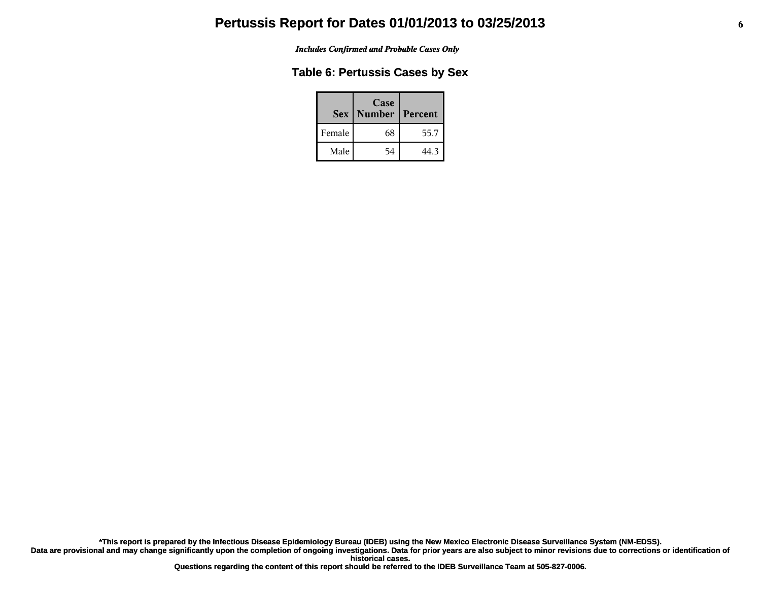*Includes Confirmed and Probable Cases Only*

### **Table 6: Pertussis Cases by Sex**

|        | Case<br>Sex   Number | Percent |
|--------|----------------------|---------|
| Female | 68                   | 55.7    |
| Male   | 54                   | 44.3    |

**\*This report is prepared by the Infectious Disease Epidemiology Bureau (IDEB) using the New Mexico Electronic Disease Surveillance System (NM-EDSS).**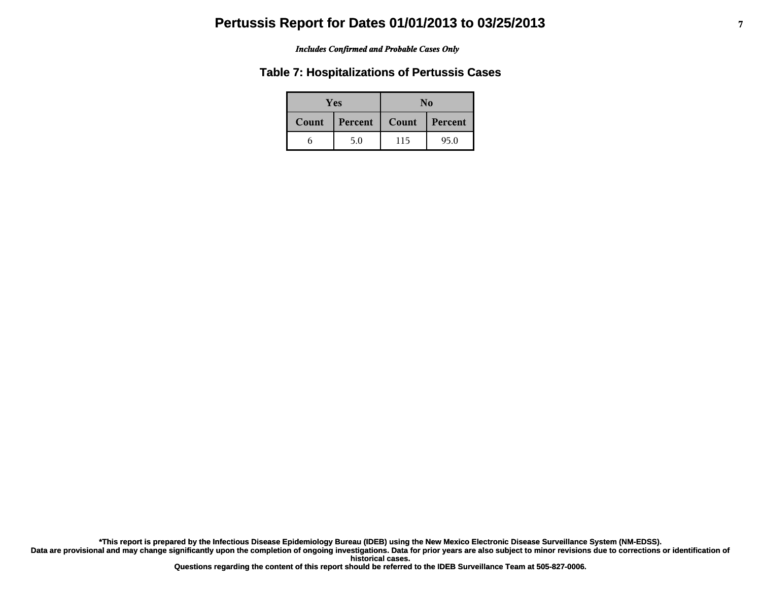#### *Includes Confirmed and Probable Cases Only*

### **Table 7: Hospitalizations of Pertussis Cases**

| <b>Yes</b> |         | No               |      |
|------------|---------|------------------|------|
| Count      | Percent | Count<br>Percent |      |
|            | 5.0     | 115              | 95.0 |

**\*This report is prepared by the Infectious Disease Epidemiology Bureau (IDEB) using the New Mexico Electronic Disease Surveillance System (NM-EDSS).**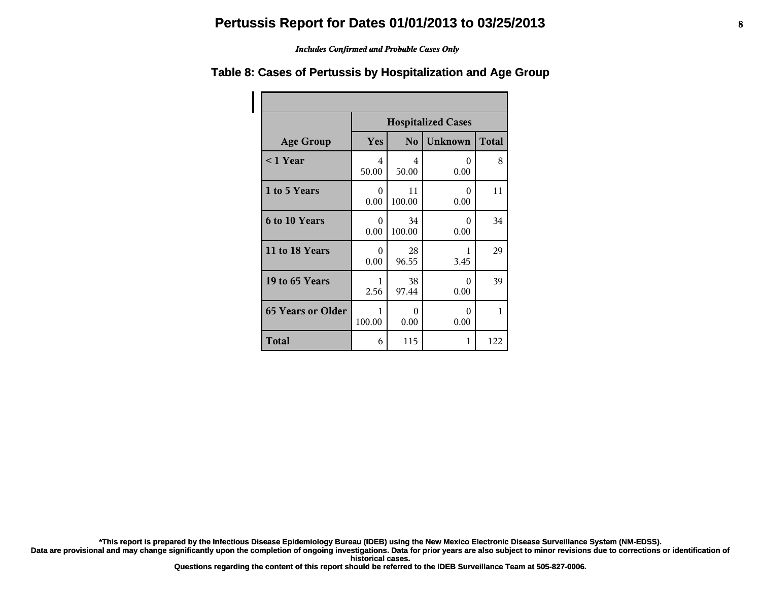#### *Includes Confirmed and Probable Cases Only*

#### **Age Group Hospitalized Cases Yes No Unknown Total < 1 Year** 4 50.00 4 50.00 0 0.00 8 **1 to 5 Years** 1 0 0.00 11 100.00 0 0.00 11 **6 to 10 Years** 1 0 0.00 34 100.00 0 0.00 34 **11 to 18 Years** 1 0 0.00 28 96.55 1 3.45 29 **19 to 65 Years** 1 2.56 38 97.44 0 0.00 39 **65 Years or Older** 1 100.00 0 0.00 0 0.00 1 **Total** 6 115 1 122

### **Table 8: Cases of Pertussis by Hospitalization and Age Group**

**\*This report is prepared by the Infectious Disease Epidemiology Bureau (IDEB) using the New Mexico Electronic Disease Surveillance System (NM-EDSS).**